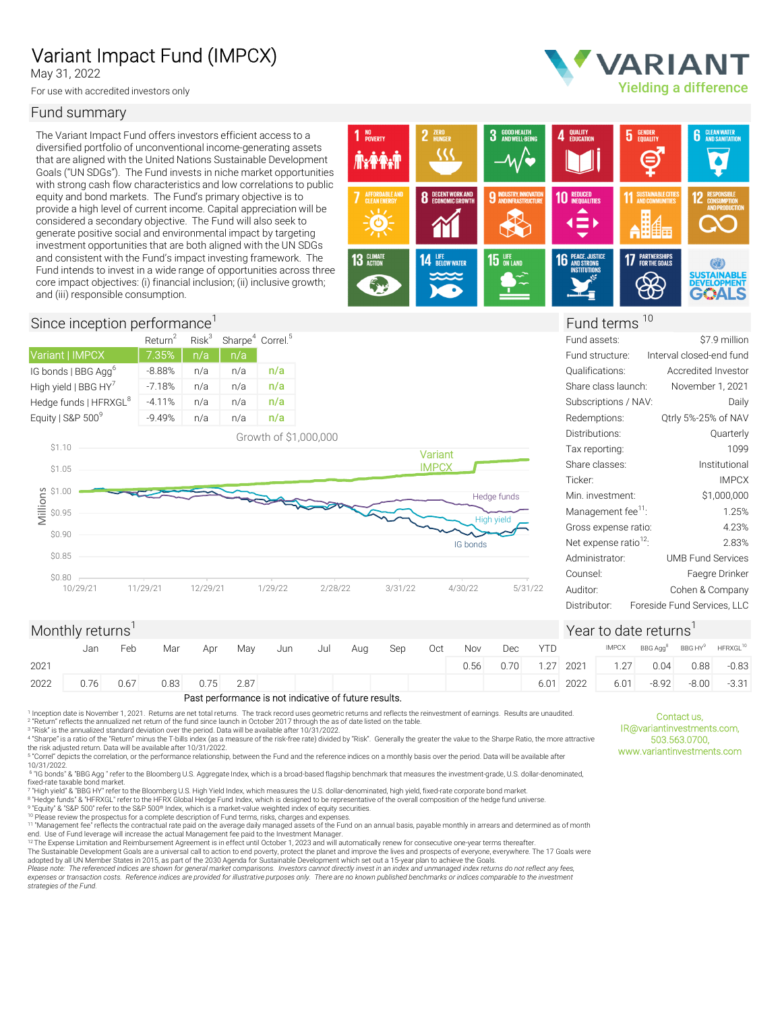# Variant Impact Fund (IMPCX)

May 31, 2022

For use with accredited investors only

## Fund summary

The Variant Impact Fund offers investors efficient access to a diversified portfolio of unconventional income-generating assets that are aligned with the United Nations Sustainable Development Goals ("UN SDGs"). The Fund invests in niche market opportunities with strong cash flow characteristics and low correlations to public equity and bond markets. The Fund's primary objective is to provide a high level of current income. Capital appreciation will be considered a secondary objective. The Fund will also seek to generate positive social and environmental impact by targeting investment opportunities that are both aligned with the UN SDGs and consistent with the Fund's impact investing framework. The **13 SUMATE** 14 Fund intends to invest in a wide range of opportunities across three core impact objectives: (i) financial inclusion; (ii) inclusive growth; and (iii) responsible consumption.



## Since inception performance<sup>1</sup> Fund terms <sup>10</sup>

|                                   | Return <sup>2</sup> | Risk <sup>3</sup> | Sharpe <sup>4</sup> Correl. <sup>5</sup> |     |
|-----------------------------------|---------------------|-------------------|------------------------------------------|-----|
| Variant   IMPCX                   | $\nabla.35\%$       | n/a               | n/a                                      |     |
| IG bonds   BBG Agg <sup>o</sup>   | $-8.88%$            | n/a               | n/a                                      | n/a |
| High yield   BBG HY'              | $-7.18%$            | n/a               | n/a                                      | n/a |
| Hedge funds   HFRXGL <sup>8</sup> | $-4.11%$            | n/a               | n/a                                      | n/a |
| Equity   S&P 500 <sup>9</sup>     | $-9.49%$            | n/a               | n/a                                      | n/a |



| \$7.9 million               | Fund assets:                      |         |             |              |                       | Sharpe <sup>4</sup> Correl. <sup>5</sup> |     | Risk <sup>3</sup> | $\mathsf{Return}^2$ |
|-----------------------------|-----------------------------------|---------|-------------|--------------|-----------------------|------------------------------------------|-----|-------------------|---------------------|
| Interval closed-end fund    | Fund structure:                   |         |             |              |                       |                                          | n/a | n/a               | 7.35%               |
| Accredited Investor         | Qualifications:                   |         |             |              |                       | n/a                                      | n/a | n/a               | $-8.88%$            |
| November 1, 2021            | Share class launch:               |         |             |              |                       | n/a                                      | n/a | n/a               | $-7.18%$            |
| Daily                       | Subscriptions / NAV:              |         |             |              |                       | n/a                                      | n/a | n/a               | $-4.11%$            |
| Qtrly 5%-25% of NAV         | Redemptions:                      |         |             |              |                       | n/a                                      | n/a | n/a               | $-9.49%$            |
| Quarterly                   | Distributions:                    |         |             |              | Growth of \$1,000,000 |                                          |     |                   |                     |
| 1099                        | Tax reporting:                    |         |             | Variant      |                       |                                          |     |                   |                     |
| Institutional               | Share classes:                    |         |             | <b>IMPCX</b> |                       |                                          |     |                   |                     |
| <b>IMPCX</b>                | Ticker:                           |         |             |              |                       |                                          |     |                   |                     |
| \$1,000,000                 | Min. investment:                  |         | Hedge funds |              |                       |                                          |     |                   |                     |
| 1.25%                       | Management fee <sup>11</sup> :    |         | High yield  |              |                       |                                          |     |                   |                     |
| 4.23%                       | Gross expense ratio:              |         |             |              |                       |                                          |     |                   |                     |
| 2.83%                       | Net expense ratio <sup>12</sup> : |         | IG bonds    |              |                       |                                          |     |                   |                     |
| <b>UMB Fund Services</b>    | Administrator:                    |         |             |              |                       |                                          |     |                   |                     |
| Faegre Drinker              | Counsel:                          |         |             |              |                       |                                          |     |                   |                     |
| Cohen & Company             | Auditor:                          | 5/31/22 | 4/30/22     | 3/31/22      | 2/28/22               | 1/29/22                                  |     | 12/29/21          | 9/21                |
| Foreside Fund Services, LLC | Distributor:                      |         |             |              |                       |                                          |     |                   |                     |
|                             |                                   |         |             |              |                       |                                          |     |                   |                     |

Yielding a difference

VARIANT

## Monthly returns<sup>1</sup>  $\frac{1}{2}$  Year to date returns<sup>1</sup>

Contact us,<br>IR@variantinvestments.com,<br>503.563.0700,<br>www.variantinvestments.com